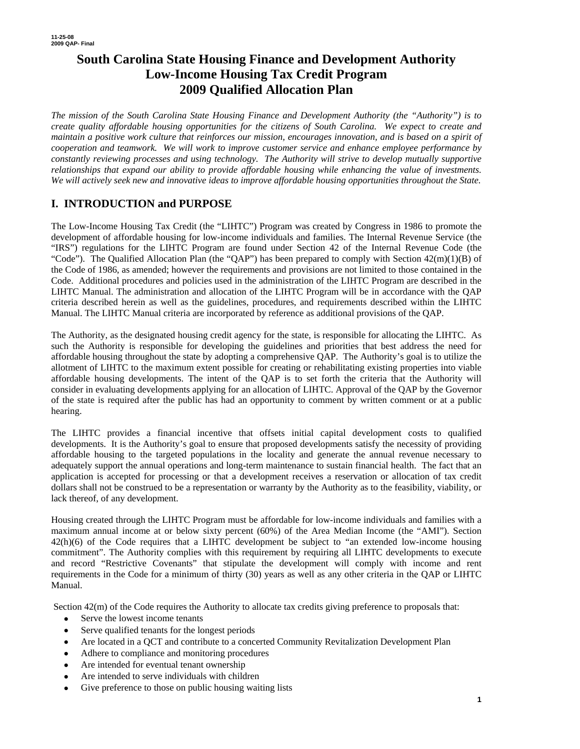# **South Carolina State Housing Finance and Development Authority Low-Income Housing Tax Credit Program 2009 Qualified Allocation Plan**

*The mission of the South Carolina State Housing Finance and Development Authority (the "Authority") is to create quality affordable housing opportunities for the citizens of South Carolina. We expect to create and maintain a positive work culture that reinforces our mission, encourages innovation, and is based on a spirit of cooperation and teamwork. We will work to improve customer service and enhance employee performance by constantly reviewing processes and using technology. The Authority will strive to develop mutually supportive relationships that expand our ability to provide affordable housing while enhancing the value of investments. We will actively seek new and innovative ideas to improve affordable housing opportunities throughout the State.* 

## **I. INTRODUCTION and PURPOSE**

The Low-Income Housing Tax Credit (the "LIHTC") Program was created by Congress in 1986 to promote the development of affordable housing for low-income individuals and families. The Internal Revenue Service (the "IRS") regulations for the LIHTC Program are found under Section 42 of the Internal Revenue Code (the "Code"). The Qualified Allocation Plan (the "QAP") has been prepared to comply with Section  $42(m)(1)(B)$  of the Code of 1986, as amended; however the requirements and provisions are not limited to those contained in the Code. Additional procedures and policies used in the administration of the LIHTC Program are described in the LIHTC Manual. The administration and allocation of the LIHTC Program will be in accordance with the QAP criteria described herein as well as the guidelines, procedures, and requirements described within the LIHTC Manual. The LIHTC Manual criteria are incorporated by reference as additional provisions of the QAP.

The Authority, as the designated housing credit agency for the state, is responsible for allocating the LIHTC. As such the Authority is responsible for developing the guidelines and priorities that best address the need for affordable housing throughout the state by adopting a comprehensive QAP. The Authority's goal is to utilize the allotment of LIHTC to the maximum extent possible for creating or rehabilitating existing properties into viable affordable housing developments. The intent of the QAP is to set forth the criteria that the Authority will consider in evaluating developments applying for an allocation of LIHTC. Approval of the QAP by the Governor of the state is required after the public has had an opportunity to comment by written comment or at a public hearing.

The LIHTC provides a financial incentive that offsets initial capital development costs to qualified developments. It is the Authority's goal to ensure that proposed developments satisfy the necessity of providing affordable housing to the targeted populations in the locality and generate the annual revenue necessary to adequately support the annual operations and long-term maintenance to sustain financial health. The fact that an application is accepted for processing or that a development receives a reservation or allocation of tax credit dollars shall not be construed to be a representation or warranty by the Authority as to the feasibility, viability, or lack thereof, of any development.

Housing created through the LIHTC Program must be affordable for low-income individuals and families with a maximum annual income at or below sixty percent (60%) of the Area Median Income (the "AMI"). Section 42(h)(6) of the Code requires that a LIHTC development be subject to "an extended low-income housing commitment". The Authority complies with this requirement by requiring all LIHTC developments to execute and record "Restrictive Covenants" that stipulate the development will comply with income and rent requirements in the Code for a minimum of thirty (30) years as well as any other criteria in the QAP or LIHTC Manual.

Section  $42(m)$  of the Code requires the Authority to allocate tax credits giving preference to proposals that:

- Serve the lowest income tenants
- Serve qualified tenants for the longest periods
- Are located in a QCT and contribute to a concerted Community Revitalization Development Plan
- Adhere to compliance and monitoring procedures
- Are intended for eventual tenant ownership
- Are intended to serve individuals with children
- Give preference to those on public housing waiting lists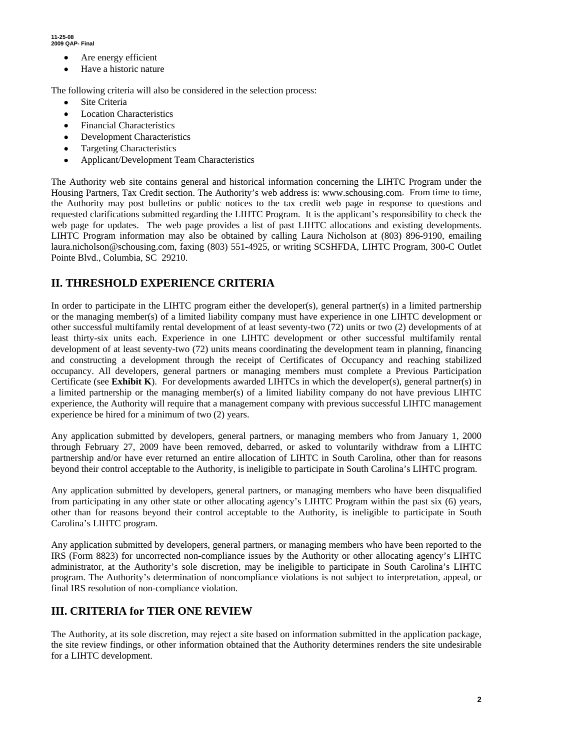**11-25-08 2009 QAP- Final** 

- Are energy efficient
- Have a historic nature

The following criteria will also be considered in the selection process:

- Site Criteria
- **Location Characteristics**
- Financial Characteristics
- **Development Characteristics**
- Targeting Characteristics
- Applicant/Development Team Characteristics

The Authority web site contains general and historical information concerning the LIHTC Program under the Housing Partners, Tax Credit section. The Authority's web address is: www.schousing.com. From time to time, the Authority may post bulletins or public notices to the tax credit web page in response to questions and requested clarifications submitted regarding the LIHTC Program. It is the applicant's responsibility to check the web page for updates. The web page provides a list of past LIHTC allocations and existing developments. LIHTC Program information may also be obtained by calling Laura Nicholson at (803) 896-9190, emailing laura.nicholson@schousing.com, faxing (803) 551-4925, or writing SCSHFDA, LIHTC Program, 300-C Outlet Pointe Blvd., Columbia, SC 29210.

### **II. THRESHOLD EXPERIENCE CRITERIA**

In order to participate in the LIHTC program either the developer(s), general partner(s) in a limited partnership or the managing member(s) of a limited liability company must have experience in one LIHTC development or other successful multifamily rental development of at least seventy-two (72) units or two (2) developments of at least thirty-six units each. Experience in one LIHTC development or other successful multifamily rental development of at least seventy-two (72) units means coordinating the development team in planning, financing and constructing a development through the receipt of Certificates of Occupancy and reaching stabilized occupancy. All developers, general partners or managing members must complete a Previous Participation Certificate (see **Exhibit K**). For developments awarded LIHTCs in which the developer(s), general partner(s) in a limited partnership or the managing member(s) of a limited liability company do not have previous LIHTC experience, the Authority will require that a management company with previous successful LIHTC management experience be hired for a minimum of two (2) years.

Any application submitted by developers, general partners, or managing members who from January 1, 2000 through February 27, 2009 have been removed, debarred, or asked to voluntarily withdraw from a LIHTC partnership and/or have ever returned an entire allocation of LIHTC in South Carolina, other than for reasons beyond their control acceptable to the Authority, is ineligible to participate in South Carolina's LIHTC program.

Any application submitted by developers, general partners, or managing members who have been disqualified from participating in any other state or other allocating agency's LIHTC Program within the past six (6) years, other than for reasons beyond their control acceptable to the Authority, is ineligible to participate in South Carolina's LIHTC program.

Any application submitted by developers, general partners, or managing members who have been reported to the IRS (Form 8823) for uncorrected non-compliance issues by the Authority or other allocating agency's LIHTC administrator, at the Authority's sole discretion, may be ineligible to participate in South Carolina's LIHTC program. The Authority's determination of noncompliance violations is not subject to interpretation, appeal, or final IRS resolution of non-compliance violation.

### **III. CRITERIA for TIER ONE REVIEW**

The Authority, at its sole discretion, may reject a site based on information submitted in the application package, the site review findings, or other information obtained that the Authority determines renders the site undesirable for a LIHTC development.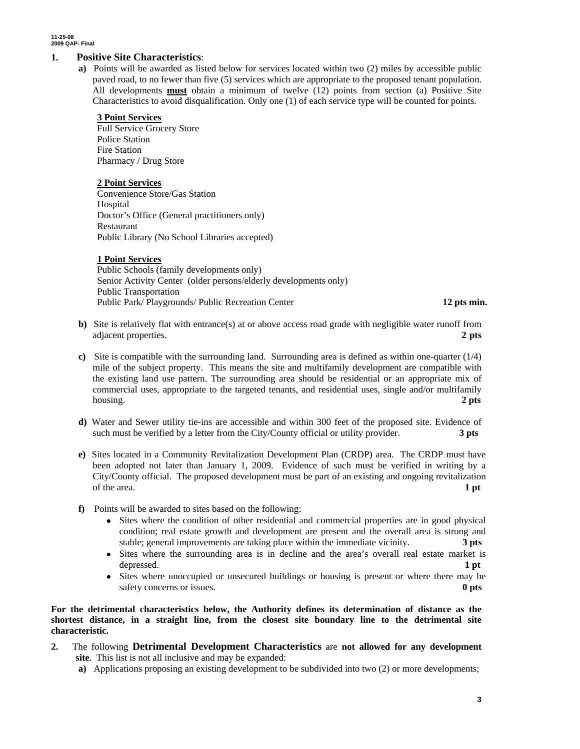### **1. Positive Site Characteristics**:

**a)** Points will be awarded as listed below for services located within two (2) miles by accessible public paved road, to no fewer than five (5) services which are appropriate to the proposed tenant population. All developments **must** obtain a minimum of twelve (12) points from section (a) Positive Site Characteristics to avoid disqualification. Only one (1) of each service type will be counted for points.

### **3 Point Services**

Full Service Grocery Store Police Station Fire Station Pharmacy / Drug Store

#### **2 Point Services**

Convenience Store/Gas Station Hospital Doctor's Office (General practitioners only) Restaurant Public Library (No School Libraries accepted)

### **1 Point Services**

Public Schools (family developments only) Senior Activity Center (older persons/elderly developments only) Public Transportation Public Park/ Playgrounds/ Public Recreation Center **12 pts min.**

- **b**) Site is relatively flat with entrance(s) at or above access road grade with negligible water runoff from adjacent properties. **2 pts**
- **c)** Site is compatible with the surrounding land. Surrounding area is defined as within one-quarter (1/4) mile of the subject property. This means the site and multifamily development are compatible with the existing land use pattern. The surrounding area should be residential or an appropriate mix of commercial uses, appropriate to the targeted tenants, and residential uses, single and/or multifamily housing. **2 pts**
- **d)** Water and Sewer utility tie-ins are accessible and within 300 feet of the proposed site. Evidence of such must be verified by a letter from the City/County official or utility provider. **3 pts**
- **e)** Sites located in a Community Revitalization Development Plan (CRDP) area. The CRDP must have been adopted not later than January 1, 2009. Evidence of such must be verified in writing by a City/County official. The proposed development must be part of an existing and ongoing revitalization of the area. **1 pt**
- **f)** Points will be awarded to sites based on the following:
	- Sites where the condition of other residential and commercial properties are in good physical condition; real estate growth and development are present and the overall area is strong and stable; general improvements are taking place within the immediate vicinity. **3 pts**
	- Sites where the surrounding area is in decline and the area's overall real estate market is depressed. **1 pt 1**
	- Sites where unoccupied or unsecured buildings or housing is present or where there may be safety concerns or issues. **0 pts 0 pts**

**For the detrimental characteristics below, the Authority defines its determination of distance as the shortest distance, in a straight line, from the closest site boundary line to the detrimental site characteristic.** 

- **2.** The following **Detrimental Development Characteristics** are **not allowed for any development site**. This list is not all inclusive and may be expanded:
	- **a)** Applications proposing an existing development to be subdivided into two (2) or more developments;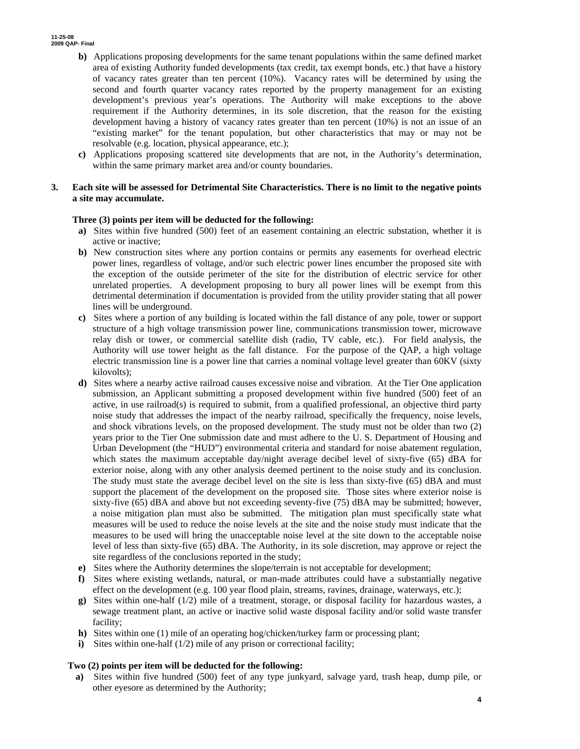- **b)** Applications proposing developments for the same tenant populations within the same defined market area of existing Authority funded developments (tax credit, tax exempt bonds, etc.) that have a history of vacancy rates greater than ten percent (10%). Vacancy rates will be determined by using the second and fourth quarter vacancy rates reported by the property management for an existing development's previous year's operations. The Authority will make exceptions to the above requirement if the Authority determines, in its sole discretion, that the reason for the existing development having a history of vacancy rates greater than ten percent (10%) is not an issue of an "existing market" for the tenant population, but other characteristics that may or may not be resolvable (e.g. location, physical appearance, etc.);
- **c)** Applications proposing scattered site developments that are not, in the Authority's determination, within the same primary market area and/or county boundaries.
- **3. Each site will be assessed for Detrimental Site Characteristics. There is no limit to the negative points a site may accumulate.**

#### **Three (3) points per item will be deducted for the following:**

- **a)** Sites within five hundred (500) feet of an easement containing an electric substation, whether it is active or inactive;
- **b)** New construction sites where any portion contains or permits any easements for overhead electric power lines, regardless of voltage, and/or such electric power lines encumber the proposed site with the exception of the outside perimeter of the site for the distribution of electric service for other unrelated properties. A development proposing to bury all power lines will be exempt from this detrimental determination if documentation is provided from the utility provider stating that all power lines will be underground.
- **c)** Sites where a portion of any building is located within the fall distance of any pole, tower or support structure of a high voltage transmission power line, communications transmission tower, microwave relay dish or tower, or commercial satellite dish (radio, TV cable, etc.). For field analysis, the Authority will use tower height as the fall distance. For the purpose of the QAP, a high voltage electric transmission line is a power line that carries a nominal voltage level greater than 60KV (sixty kilovolts);
- **d)** Sites where a nearby active railroad causes excessive noise and vibration. At the Tier One application submission, an Applicant submitting a proposed development within five hundred (500) feet of an active, in use railroad(s) is required to submit, from a qualified professional, an objective third party noise study that addresses the impact of the nearby railroad, specifically the frequency, noise levels, and shock vibrations levels, on the proposed development. The study must not be older than two (2) years prior to the Tier One submission date and must adhere to the U. S. Department of Housing and Urban Development (the "HUD") environmental criteria and standard for noise abatement regulation, which states the maximum acceptable day/night average decibel level of sixty-five (65) dBA for exterior noise, along with any other analysis deemed pertinent to the noise study and its conclusion. The study must state the average decibel level on the site is less than sixty-five (65) dBA and must support the placement of the development on the proposed site. Those sites where exterior noise is sixty-five (65) dBA and above but not exceeding seventy-five (75) dBA may be submitted; however, a noise mitigation plan must also be submitted. The mitigation plan must specifically state what measures will be used to reduce the noise levels at the site and the noise study must indicate that the measures to be used will bring the unacceptable noise level at the site down to the acceptable noise level of less than sixty-five (65) dBA. The Authority, in its sole discretion, may approve or reject the site regardless of the conclusions reported in the study;
- **e)** Sites where the Authority determines the slope/terrain is not acceptable for development;
- **f)** Sites where existing wetlands, natural, or man-made attributes could have a substantially negative effect on the development (e.g. 100 year flood plain, streams, ravines, drainage, waterways, etc.);
- **g)** Sites within one-half (1/2) mile of a treatment, storage, or disposal facility for hazardous wastes, a sewage treatment plant, an active or inactive solid waste disposal facility and/or solid waste transfer facility;
- **h)** Sites within one (1) mile of an operating hog/chicken/turkey farm or processing plant;
- **i)** Sites within one-half (1/2) mile of any prison or correctional facility;

### **Two (2) points per item will be deducted for the following:**

**a)** Sites within five hundred (500) feet of any type junkyard, salvage yard, trash heap, dump pile, or other eyesore as determined by the Authority;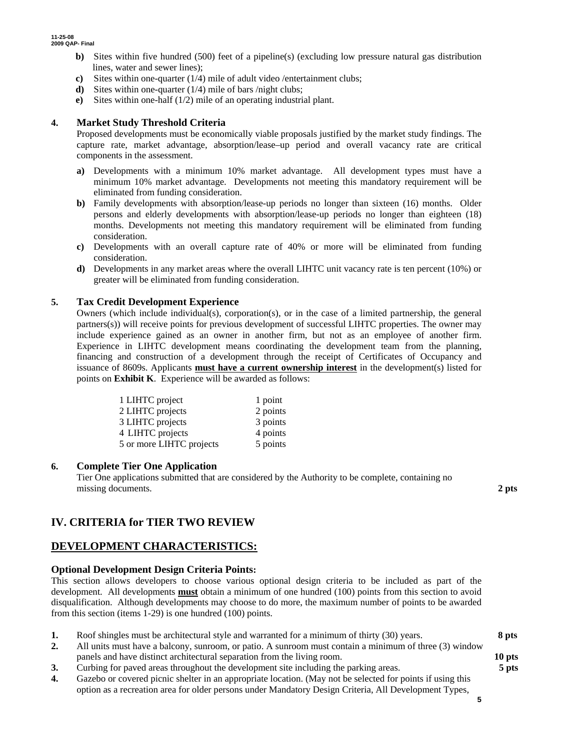- **b)** Sites within five hundred (500) feet of a pipeline(s) (excluding low pressure natural gas distribution lines, water and sewer lines);
- **c)** Sites within one-quarter (1/4) mile of adult video /entertainment clubs;
- **d**) Sites within one-quarter (1/4) mile of bars /night clubs;
- **e)** Sites within one-half (1/2) mile of an operating industrial plant.

### **4. Market Study Threshold Criteria**

Proposed developments must be economically viable proposals justified by the market study findings. The capture rate, market advantage, absorption/lease–up period and overall vacancy rate are critical components in the assessment.

- **a)** Developments with a minimum 10% market advantage. All development types must have a minimum 10% market advantage. Developments not meeting this mandatory requirement will be eliminated from funding consideration.
- **b**) Family developments with absorption/lease-up periods no longer than sixteen (16) months. Older persons and elderly developments with absorption/lease-up periods no longer than eighteen (18) months. Developments not meeting this mandatory requirement will be eliminated from funding consideration.
- **c)** Developments with an overall capture rate of 40% or more will be eliminated from funding consideration.
- **d)** Developments in any market areas where the overall LIHTC unit vacancy rate is ten percent (10%) or greater will be eliminated from funding consideration.

### **5. Tax Credit Development Experience**

Owners (which include individual(s), corporation(s), or in the case of a limited partnership, the general partners(s)) will receive points for previous development of successful LIHTC properties. The owner may include experience gained as an owner in another firm, but not as an employee of another firm. Experience in LIHTC development means coordinating the development team from the planning, financing and construction of a development through the receipt of Certificates of Occupancy and issuance of 8609s. Applicants **must have a current ownership interest** in the development(s) listed for points on **Exhibit K**. Experience will be awarded as follows:

| 1 LIHTC project          | 1 point  |
|--------------------------|----------|
| 2 LIHTC projects         | 2 points |
| 3 LIHTC projects         | 3 points |
| 4 LIHTC projects         | 4 points |
| 5 or more LIHTC projects | 5 points |

### **6. Complete Tier One Application**

Tier One applications submitted that are considered by the Authority to be complete, containing no missing documents. **2 pts 2** 

### **IV. CRITERIA for TIER TWO REVIEW**

### **DEVELOPMENT CHARACTERISTICS:**

### **Optional Development Design Criteria Points:**

This section allows developers to choose various optional design criteria to be included as part of the development. All developments **must** obtain a minimum of one hundred (100) points from this section to avoid disqualification. Although developments may choose to do more, the maximum number of points to be awarded from this section (items 1-29) is one hundred (100) points.

- **1.** Roof shingles must be architectural style and warranted for a minimum of thirty (30) years. **8 pts 2.** All units must have a balcony, sunroom, or patio. A sunroom must contain a minimum of three (3) window
- panels and have distinct architectural separation from the living room. **10 pts 3.** Curbing for paved areas throughout the development site including the parking areas. **5 pts**
- 
- **4.** Gazebo or covered picnic shelter in an appropriate location. (May not be selected for points if using this option as a recreation area for older persons under Mandatory Design Criteria, All Development Types,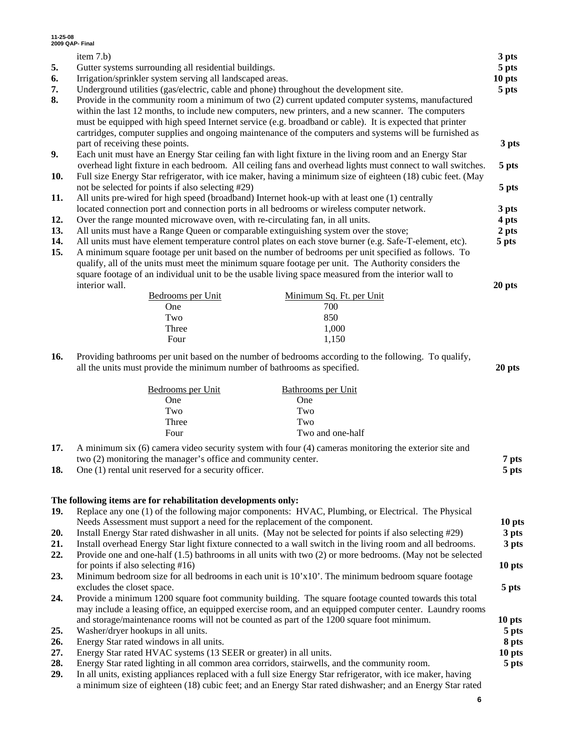| 11-25-08                                                                                                | 2009 QAP- Final                                                                                              |        |  |  |
|---------------------------------------------------------------------------------------------------------|--------------------------------------------------------------------------------------------------------------|--------|--|--|
|                                                                                                         | item 7.b)                                                                                                    | 3 pts  |  |  |
| 5.                                                                                                      | Gutter systems surrounding all residential buildings.                                                        | 5 pts  |  |  |
| 6.                                                                                                      | Irrigation/sprinkler system serving all landscaped areas.                                                    |        |  |  |
| 7.                                                                                                      | Underground utilities (gas/electric, cable and phone) throughout the development site.                       |        |  |  |
| 8.<br>Provide in the community room a minimum of two (2) current updated computer systems, manufactured |                                                                                                              |        |  |  |
| within the last 12 months, to include new computers, new printers, and a new scanner. The computers     |                                                                                                              |        |  |  |
|                                                                                                         | must be equipped with high speed Internet service (e.g. broadband or cable). It is expected that printer     |        |  |  |
|                                                                                                         | cartridges, computer supplies and ongoing maintenance of the computers and systems will be furnished as      |        |  |  |
|                                                                                                         | part of receiving these points.                                                                              | 3 pts  |  |  |
| 9.                                                                                                      | Each unit must have an Energy Star ceiling fan with light fixture in the living room and an Energy Star      |        |  |  |
|                                                                                                         | overhead light fixture in each bedroom. All ceiling fans and overhead lights must connect to wall switches.  | 5 pts  |  |  |
| 10.                                                                                                     | Full size Energy Star refrigerator, with ice maker, having a minimum size of eighteen (18) cubic feet. (May  |        |  |  |
|                                                                                                         | not be selected for points if also selecting #29)                                                            | 5 pts  |  |  |
| 11.                                                                                                     | All units pre-wired for high speed (broadband) Internet hook-up with at least one (1) centrally              |        |  |  |
|                                                                                                         | located connection port and connection ports in all bedrooms or wireless computer network.                   | 3 pts  |  |  |
| 12.                                                                                                     | Over the range mounted microwave oven, with re-circulating fan, in all units.                                | 4 pts  |  |  |
| 13.                                                                                                     | All units must have a Range Queen or comparable extinguishing system over the stove;                         | 2 pts  |  |  |
| 14.                                                                                                     | All units must have element temperature control plates on each stove burner (e.g. Safe-T-element, etc).      | 5 pts  |  |  |
| 15.                                                                                                     | A minimum square footage per unit based on the number of bedrooms per unit specified as follows. To          |        |  |  |
|                                                                                                         | qualify, all of the units must meet the minimum square footage per unit. The Authority considers the         |        |  |  |
|                                                                                                         | square footage of an individual unit to be the usable living space measured from the interior wall to        |        |  |  |
|                                                                                                         | interior wall.                                                                                               | 20 pts |  |  |
|                                                                                                         | Bedrooms per Unit<br>Minimum Sq. Ft. per Unit                                                                |        |  |  |
|                                                                                                         | 700<br>One                                                                                                   |        |  |  |
|                                                                                                         | 850<br>Two                                                                                                   |        |  |  |
|                                                                                                         | Three<br>1,000                                                                                               |        |  |  |
|                                                                                                         | Four<br>1,150                                                                                                |        |  |  |
| 16.                                                                                                     | Providing bathrooms per unit based on the number of bedrooms according to the following. To qualify,         |        |  |  |
|                                                                                                         | all the units must provide the minimum number of bathrooms as specified.                                     | 20 pts |  |  |
|                                                                                                         | Bedrooms per Unit<br><b>Bathrooms</b> per Unit                                                               |        |  |  |
|                                                                                                         | One<br>One                                                                                                   |        |  |  |
|                                                                                                         | Two<br>Two                                                                                                   |        |  |  |
|                                                                                                         | Three<br>Two                                                                                                 |        |  |  |
|                                                                                                         | Two and one-half<br>Four                                                                                     |        |  |  |
| 17.                                                                                                     | A minimum six (6) camera video security system with four (4) cameras monitoring the exterior site and        |        |  |  |
|                                                                                                         | two (2) monitoring the manager's office and community center.                                                | 7 pts  |  |  |
| 18.                                                                                                     | One (1) rental unit reserved for a security officer.                                                         | 5 pts  |  |  |
|                                                                                                         |                                                                                                              |        |  |  |
|                                                                                                         | The following items are for rehabilitation developments only:                                                |        |  |  |
| 19.                                                                                                     | Replace any one (1) of the following major components: HVAC, Plumbing, or Electrical. The Physical           |        |  |  |
|                                                                                                         | Needs Assessment must support a need for the replacement of the component.                                   | 10 pts |  |  |
| 20.                                                                                                     | Install Energy Star rated dishwasher in all units. (May not be selected for points if also selecting #29)    | 3 pts  |  |  |
| 21.                                                                                                     | Install overhead Energy Star light fixture connected to a wall switch in the living room and all bedrooms.   | 3 pts  |  |  |
| 22.                                                                                                     | Provide one and one-half (1.5) bathrooms in all units with two (2) or more bedrooms. (May not be selected    |        |  |  |
|                                                                                                         | for points if also selecting $#16$ )                                                                         | 10 pts |  |  |
| 23.                                                                                                     | Minimum bedroom size for all bedrooms in each unit is $10'x10'$ . The minimum bedroom square footage         |        |  |  |
|                                                                                                         |                                                                                                              |        |  |  |
| 24.                                                                                                     | excludes the closet space.                                                                                   | 5 pts  |  |  |
|                                                                                                         | Provide a minimum 1200 square foot community building. The square footage counted towards this total         |        |  |  |
|                                                                                                         | may include a leasing office, an equipped exercise room, and an equipped computer center. Laundry rooms      |        |  |  |
|                                                                                                         | and storage/maintenance rooms will not be counted as part of the 1200 square foot minimum.                   | 10 pts |  |  |
| 25.                                                                                                     | Washer/dryer hookups in all units.                                                                           | 5 pts  |  |  |
| 26.                                                                                                     | Energy Star rated windows in all units.                                                                      | 8 pts  |  |  |
| 27.                                                                                                     | Energy Star rated HVAC systems (13 SEER or greater) in all units.                                            | 10 pts |  |  |
| 28.                                                                                                     | Energy Star rated lighting in all common area corridors, stairwells, and the community room.                 | 5 pts  |  |  |
| 29.                                                                                                     | In all units, existing appliances replaced with a full size Energy Star refrigerator, with ice maker, having |        |  |  |
|                                                                                                         | a minimum size of eighteen (18) cubic feet; and an Energy Star rated dishwasher; and an Energy Star rated    |        |  |  |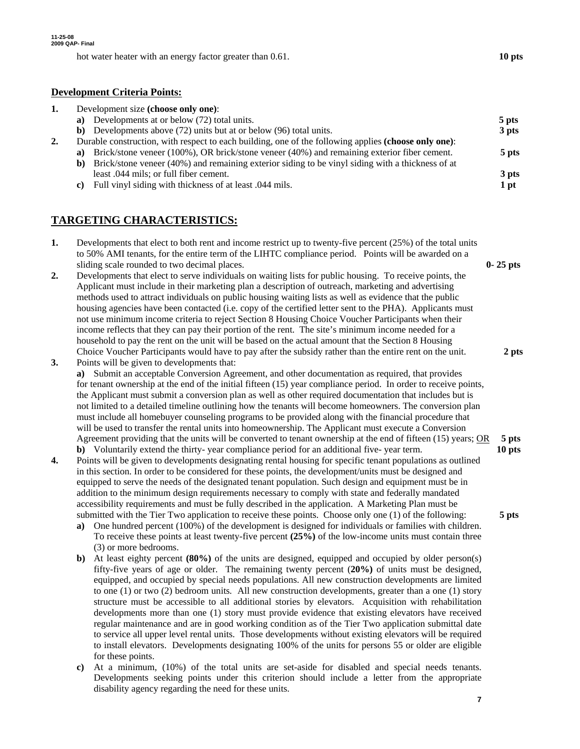hot water heater with an energy factor greater than 0.61. **10 pts 10 pts** 

### **Development Criteria Points:**

|    |                                        | 5 pts                                                                                                                                                                                                                                                                                                                                                                                                                                                                                                                                |
|----|----------------------------------------|--------------------------------------------------------------------------------------------------------------------------------------------------------------------------------------------------------------------------------------------------------------------------------------------------------------------------------------------------------------------------------------------------------------------------------------------------------------------------------------------------------------------------------------|
|    |                                        | 3 pts                                                                                                                                                                                                                                                                                                                                                                                                                                                                                                                                |
|    |                                        |                                                                                                                                                                                                                                                                                                                                                                                                                                                                                                                                      |
|    |                                        | 5 pts                                                                                                                                                                                                                                                                                                                                                                                                                                                                                                                                |
| b) |                                        |                                                                                                                                                                                                                                                                                                                                                                                                                                                                                                                                      |
|    | least .044 mils; or full fiber cement. | 3 pts                                                                                                                                                                                                                                                                                                                                                                                                                                                                                                                                |
| C) |                                        | $1$ pt                                                                                                                                                                                                                                                                                                                                                                                                                                                                                                                               |
|    |                                        | Development size (choose only one):<br>a) Developments at or below (72) total units.<br>b) Developments above (72) units but at or below (96) total units.<br>Durable construction, with respect to each building, one of the following applies (choose only one):<br>a) Brick/stone veneer (100%), OR brick/stone veneer (40%) and remaining exterior fiber cement.<br>Brick/stone veneer (40%) and remaining exterior siding to be vinyl siding with a thickness of at<br>Full vinyl siding with thickness of at least 0.044 mils. |

## **TARGETING CHARACTERISTICS:**

| Developments that elect to both rent and income restrict up to twenty-five percent $(25%)$ of the total units |              |
|---------------------------------------------------------------------------------------------------------------|--------------|
| to 50% AMI tenants, for the entire term of the LIHTC compliance period. Points will be awarded on a           |              |
| sliding scale rounded to two decimal places.                                                                  | $0 - 25$ pts |
| Developments that elect to serve individuals on waiting lists for public housing. To receive points, the      |              |
| Applicant must include in their marketing plan a description of outreach, marketing and advertising           |              |

- methods used to attract individuals on public housing waiting lists as well as evidence that the public housing agencies have been contacted (i.e. copy of the certified letter sent to the PHA). Applicants must not use minimum income criteria to reject Section 8 Housing Choice Voucher Participants when their income reflects that they can pay their portion of the rent. The site's minimum income needed for a household to pay the rent on the unit will be based on the actual amount that the Section 8 Housing Choice Voucher Participants would have to pay after the subsidy rather than the entire rent on the unit. **2 pts**
- **3.** Points will be given to developments that: **a)** Submit an acceptable Conversion Agreement, and other documentation as required, that provides for tenant ownership at the end of the initial fifteen (15) year compliance period. In order to receive points, the Applicant must submit a conversion plan as well as other required documentation that includes but is not limited to a detailed timeline outlining how the tenants will become homeowners. The conversion plan must include all homebuyer counseling programs to be provided along with the financial procedure that will be used to transfer the rental units into homeownership. The Applicant must execute a Conversion Agreement providing that the units will be converted to tenant ownership at the end of fifteen (15) years; OR **5 pts b)** Voluntarily extend the thirty- year compliance period for an additional five- year term. **10 pts**
- **4.** Points will be given to developments designating rental housing for specific tenant populations as outlined in this section. In order to be considered for these points, the development/units must be designed and equipped to serve the needs of the designated tenant population. Such design and equipment must be in addition to the minimum design requirements necessary to comply with state and federally mandated accessibility requirements and must be fully described in the application. A Marketing Plan must be submitted with the Tier Two application to receive these points. Choose only one (1) of the following: **5 pts**
	- **a)** One hundred percent (100%) of the development is designed for individuals or families with children. To receive these points at least twenty-five percent **(25%)** of the low-income units must contain three (3) or more bedrooms.
	- **b)** At least eighty percent **(80%)** of the units are designed, equipped and occupied by older person(s) fifty-five years of age or older. The remaining twenty percent (**20%)** of units must be designed, equipped, and occupied by special needs populations. All new construction developments are limited to one (1) or two (2) bedroom units*.* All new construction developments, greater than a one (1) story structure must be accessible to all additional stories by elevators. Acquisition with rehabilitation developments more than one (1) story must provide evidence that existing elevators have received regular maintenance and are in good working condition as of the Tier Two application submittal date to service all upper level rental units. Those developments without existing elevators will be required to install elevators. Developments designating 100% of the units for persons 55 or older are eligible for these points.
	- **c)** At a minimum, (10%) of the total units are set-aside for disabled and special needs tenants. Developments seeking points under this criterion should include a letter from the appropriate disability agency regarding the need for these units.

**7**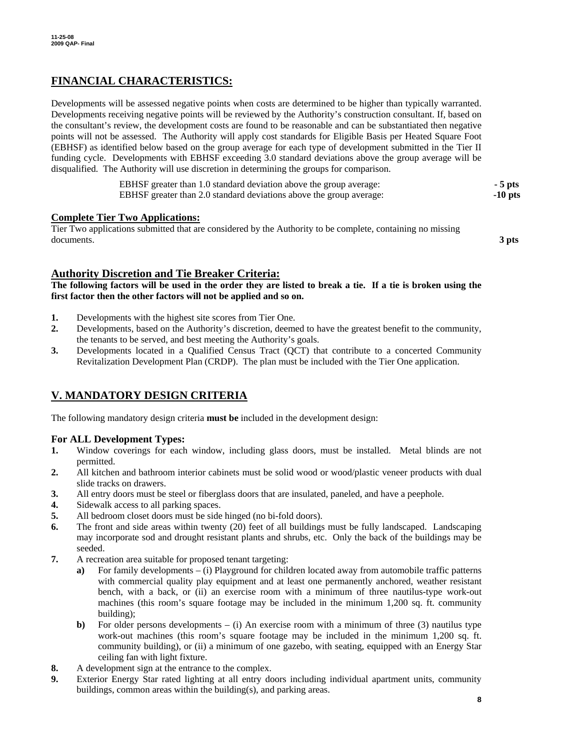## **FINANCIAL CHARACTERISTICS:**

Developments will be assessed negative points when costs are determined to be higher than typically warranted. Developments receiving negative points will be reviewed by the Authority's construction consultant. If, based on the consultant's review, the development costs are found to be reasonable and can be substantiated then negative points will not be assessed. The Authority will apply cost standards for Eligible Basis per Heated Square Foot (EBHSF) as identified below based on the group average for each type of development submitted in the Tier II funding cycle. Developments with EBHSF exceeding 3.0 standard deviations above the group average will be disqualified. The Authority will use discretion in determining the groups for comparison.

| EBHSF greater than 1.0 standard deviation above the group average:  | $-5$ pts  |
|---------------------------------------------------------------------|-----------|
| EBHSF greater than 2.0 standard deviations above the group average: | $-10$ pts |

### **Complete Tier Two Applications:**

Tier Two applications submitted that are considered by the Authority to be complete, containing no missing documents. **3 pts** 

### **Authority Discretion and Tie Breaker Criteria:**

**The following factors will be used in the order they are listed to break a tie. If a tie is broken using the first factor then the other factors will not be applied and so on.** 

- **1.** Developments with the highest site scores from Tier One.
- **2.** Developments, based on the Authority's discretion, deemed to have the greatest benefit to the community, the tenants to be served, and best meeting the Authority's goals.
- **3.** Developments located in a Qualified Census Tract (QCT) that contribute to a concerted Community Revitalization Development Plan (CRDP). The plan must be included with the Tier One application.

### **V. MANDATORY DESIGN CRITERIA**

The following mandatory design criteria **must be** included in the development design:

### **For ALL Development Types:**

- **1.** Window coverings for each window, including glass doors, must be installed. Metal blinds are not permitted.
- **2.** All kitchen and bathroom interior cabinets must be solid wood or wood/plastic veneer products with dual slide tracks on drawers.
- **3.** All entry doors must be steel or fiberglass doors that are insulated, paneled, and have a peephole.
- **4.** Sidewalk access to all parking spaces.
- **5.** All bedroom closet doors must be side hinged (no bi-fold doors).
- **6.** The front and side areas within twenty (20) feet of all buildings must be fully landscaped. Landscaping may incorporate sod and drought resistant plants and shrubs, etc. Only the back of the buildings may be seeded.
- **7.** A recreation area suitable for proposed tenant targeting:
	- **a)** For family developments (i) Playground for children located away from automobile traffic patterns with commercial quality play equipment and at least one permanently anchored, weather resistant bench, with a back, or (ii) an exercise room with a minimum of three nautilus-type work-out machines (this room's square footage may be included in the minimum 1,200 sq. ft. community building);
	- **b)** For older persons developments  $-$  (i) An exercise room with a minimum of three (3) nautilus type work-out machines (this room's square footage may be included in the minimum 1,200 sq. ft. community building), or (ii) a minimum of one gazebo, with seating, equipped with an Energy Star ceiling fan with light fixture.
- **8.** A development sign at the entrance to the complex.
- **9.** Exterior Energy Star rated lighting at all entry doors including individual apartment units, community buildings, common areas within the building(s), and parking areas.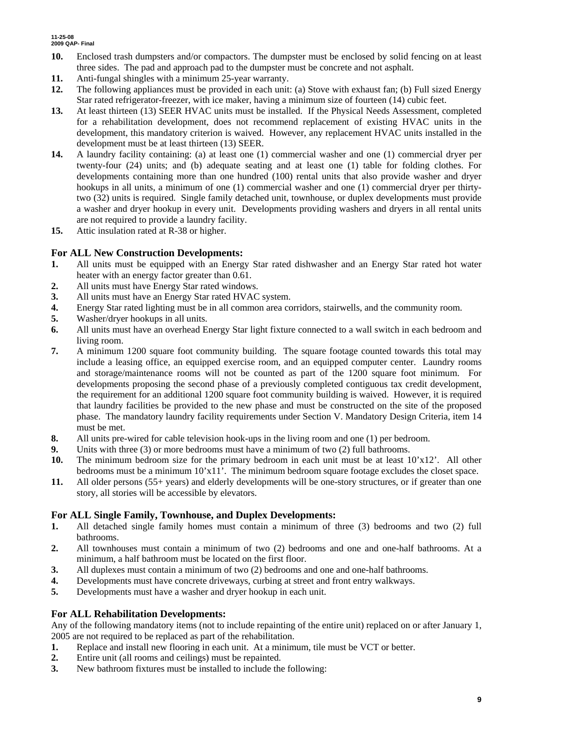#### **11-25-08 2009 QAP- Final**

- **10.** Enclosed trash dumpsters and/or compactors. The dumpster must be enclosed by solid fencing on at least three sides. The pad and approach pad to the dumpster must be concrete and not asphalt.
- **11.** Anti-fungal shingles with a minimum 25-year warranty.
- **12.** The following appliances must be provided in each unit: (a) Stove with exhaust fan; (b) Full sized Energy Star rated refrigerator-freezer, with ice maker, having a minimum size of fourteen (14) cubic feet.
- **13.** At least thirteen (13) SEER HVAC units must be installed. If the Physical Needs Assessment, completed for a rehabilitation development, does not recommend replacement of existing HVAC units in the development, this mandatory criterion is waived. However, any replacement HVAC units installed in the development must be at least thirteen (13) SEER.
- **14.** A laundry facility containing: (a) at least one (1) commercial washer and one (1) commercial dryer per twenty-four (24) units; and (b) adequate seating and at least one (1) table for folding clothes. For developments containing more than one hundred (100) rental units that also provide washer and dryer hookups in all units, a minimum of one (1) commercial washer and one (1) commercial dryer per thirtytwo (32) units is required. Single family detached unit, townhouse, or duplex developments must provide a washer and dryer hookup in every unit. Developments providing washers and dryers in all rental units are not required to provide a laundry facility.
- **15.** Attic insulation rated at R-38 or higher.

### **For ALL New Construction Developments:**

- **1.** All units must be equipped with an Energy Star rated dishwasher and an Energy Star rated hot water heater with an energy factor greater than 0.61.
- **2.** All units must have Energy Star rated windows.
- **3.** All units must have an Energy Star rated HVAC system.
- **4.** Energy Star rated lighting must be in all common area corridors, stairwells, and the community room.
- **5.** Washer/dryer hookups in all units.
- **6.** All units must have an overhead Energy Star light fixture connected to a wall switch in each bedroom and living room.
- **7.** A minimum 1200 square foot community building. The square footage counted towards this total may include a leasing office, an equipped exercise room, and an equipped computer center. Laundry rooms and storage/maintenance rooms will not be counted as part of the 1200 square foot minimum. For developments proposing the second phase of a previously completed contiguous tax credit development, the requirement for an additional 1200 square foot community building is waived. However, it is required that laundry facilities be provided to the new phase and must be constructed on the site of the proposed phase. The mandatory laundry facility requirements under Section V. Mandatory Design Criteria, item 14 must be met.
- **8.** All units pre-wired for cable television hook-ups in the living room and one (1) per bedroom.
- **9.** Units with three (3) or more bedrooms must have a minimum of two (2) full bathrooms.
- **10.** The minimum bedroom size for the primary bedroom in each unit must be at least 10'x12'. All other bedrooms must be a minimum 10'x11'. The minimum bedroom square footage excludes the closet space.
- **11.** All older persons (55+ years) and elderly developments will be one-story structures, or if greater than one story, all stories will be accessible by elevators.

### **For ALL Single Family, Townhouse, and Duplex Developments:**

- **1.** All detached single family homes must contain a minimum of three (3) bedrooms and two (2) full bathrooms.
- **2.** All townhouses must contain a minimum of two (2) bedrooms and one and one-half bathrooms. At a minimum, a half bathroom must be located on the first floor.
- **3.** All duplexes must contain a minimum of two (2) bedrooms and one and one-half bathrooms.
- **4.** Developments must have concrete driveways, curbing at street and front entry walkways.
- **5.** Developments must have a washer and dryer hookup in each unit.

### **For ALL Rehabilitation Developments:**

Any of the following mandatory items (not to include repainting of the entire unit) replaced on or after January 1, 2005 are not required to be replaced as part of the rehabilitation.

- **1.** Replace and install new flooring in each unit. At a minimum, tile must be VCT or better.
- **2.** Entire unit (all rooms and ceilings) must be repainted.
- **3.** New bathroom fixtures must be installed to include the following: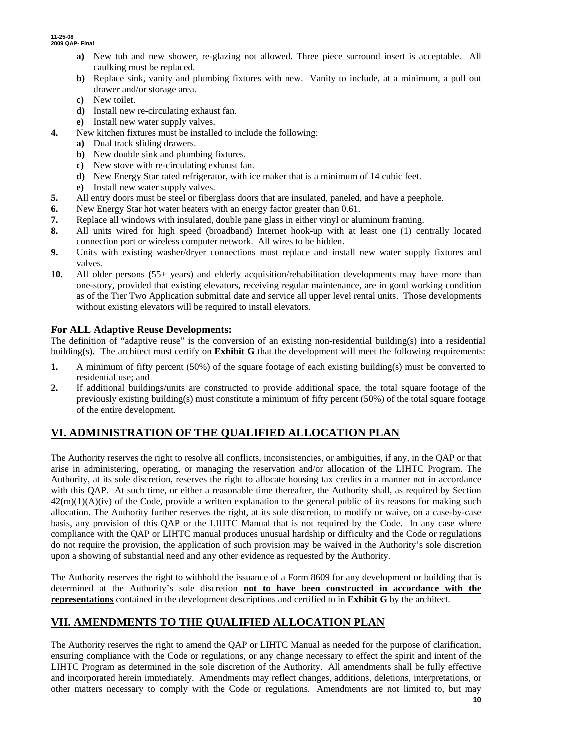**11-25-08 2009 QAP- Final** 

- **a)** New tub and new shower, re-glazing not allowed. Three piece surround insert is acceptable. All caulking must be replaced.
- **b)** Replace sink, vanity and plumbing fixtures with new. Vanity to include, at a minimum, a pull out drawer and/or storage area.
- **c)** New toilet.
- **d)** Install new re-circulating exhaust fan.
- **e)** Install new water supply valves.
- **4.** New kitchen fixtures must be installed to include the following:
	- **a)** Dual track sliding drawers.
	- **b)** New double sink and plumbing fixtures.
	- **c)** New stove with re-circulating exhaust fan.
	- **d)** New Energy Star rated refrigerator, with ice maker that is a minimum of 14 cubic feet.
	- **e)** Install new water supply valves.
- **5.** All entry doors must be steel or fiberglass doors that are insulated, paneled, and have a peephole.
- **6.** New Energy Star hot water heaters with an energy factor greater than 0.61.
- **7.** Replace all windows with insulated, double pane glass in either vinyl or aluminum framing.
- **8.** All units wired for high speed (broadband) Internet hook-up with at least one (1) centrally located connection port or wireless computer network. All wires to be hidden.
- **9.** Units with existing washer/dryer connections must replace and install new water supply fixtures and valves.
- **10.** All older persons (55+ years) and elderly acquisition/rehabilitation developments may have more than one-story, provided that existing elevators, receiving regular maintenance, are in good working condition as of the Tier Two Application submittal date and service all upper level rental units. Those developments without existing elevators will be required to install elevators.

## **For ALL Adaptive Reuse Developments:**

The definition of "adaptive reuse" is the conversion of an existing non-residential building(s) into a residential building(s). The architect must certify on **Exhibit G** that the development will meet the following requirements:

- **1.** A minimum of fifty percent (50%) of the square footage of each existing building(s) must be converted to residential use; and
- **2.** If additional buildings/units are constructed to provide additional space, the total square footage of the previously existing building(s) must constitute a minimum of fifty percent (50%) of the total square footage of the entire development.

# **VI. ADMINISTRATION OF THE QUALIFIED ALLOCATION PLAN**

The Authority reserves the right to resolve all conflicts, inconsistencies, or ambiguities, if any, in the QAP or that arise in administering, operating, or managing the reservation and/or allocation of the LIHTC Program. The Authority, at its sole discretion, reserves the right to allocate housing tax credits in a manner not in accordance with this QAP. At such time, or either a reasonable time thereafter, the Authority shall, as required by Section  $42(m)(1)(A)(iv)$  of the Code, provide a written explanation to the general public of its reasons for making such allocation. The Authority further reserves the right, at its sole discretion, to modify or waive, on a case-by-case basis, any provision of this QAP or the LIHTC Manual that is not required by the Code. In any case where compliance with the QAP or LIHTC manual produces unusual hardship or difficulty and the Code or regulations do not require the provision, the application of such provision may be waived in the Authority's sole discretion upon a showing of substantial need and any other evidence as requested by the Authority.

The Authority reserves the right to withhold the issuance of a Form 8609 for any development or building that is determined at the Authority's sole discretion **not to have been constructed in accordance with the representations** contained in the development descriptions and certified to in **Exhibit G** by the architect.

# **VII. AMENDMENTS TO THE QUALIFIED ALLOCATION PLAN**

The Authority reserves the right to amend the QAP or LIHTC Manual as needed for the purpose of clarification, ensuring compliance with the Code or regulations, or any change necessary to effect the spirit and intent of the LIHTC Program as determined in the sole discretion of the Authority. All amendments shall be fully effective and incorporated herein immediately. Amendments may reflect changes, additions, deletions, interpretations, or other matters necessary to comply with the Code or regulations. Amendments are not limited to, but may